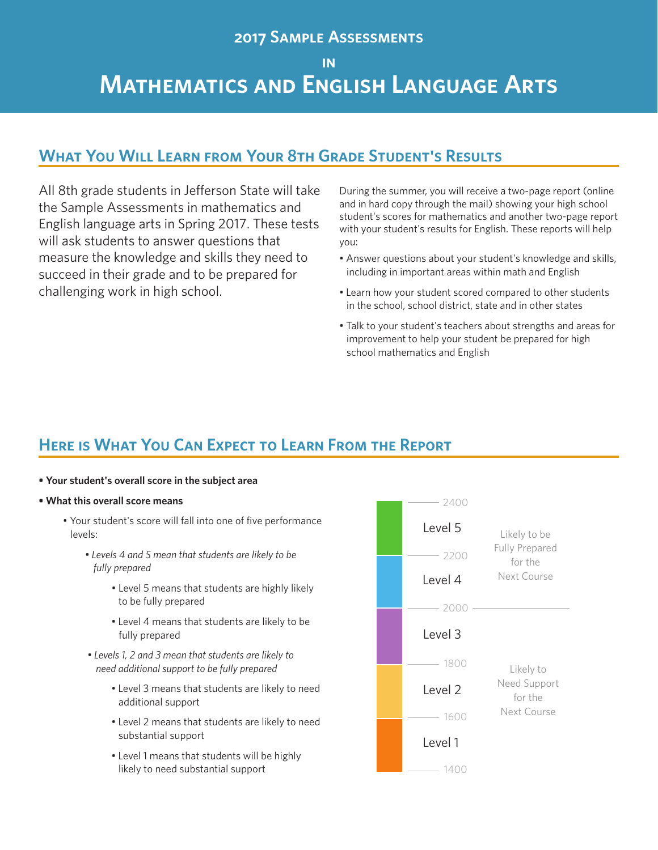#### **2017 Sample Assessments**

**in**

# **Mathematics and English Language Arts**

### **What You Will Learn from Your 8th Grade Student's Results**

All 8th grade students in Jefferson State will take the Sample Assessments in mathematics and English language arts in Spring 2017. These tests will ask students to answer questions that measure the knowledge and skills they need to succeed in their grade and to be prepared for challenging work in high school.

During the summer, you will receive a two-page report (online and in hard copy through the mail) showing your high school student's scores for mathematics and another two-page report with your student's results for English. These reports will help you:

- Answer questions about your student's knowledge and skills, including in important areas within math and English
- Learn how your student scored compared to other students in the school, school district, state and in other states
- Talk to your student's teachers about strengths and areas for improvement to help your student be prepared for high school mathematics and English

## **Here is What You Can Expect to Learn From the Report**

#### **¥ Your student's overall score in the subject area**

- **¥ What this overall score means** 
	- Your student's score will fall into one of five performance levels:
		- Levels 4 and 5 mean that students are likely to be  *fully prepared*
			- Level 5 means that students are highly likely to be fully prepared
			- Level 4 means that students are likely to be fully prepared
		- *¥ Levels 1, 2 and 3 mean that students are likely to need additional support to be fully prepared*
			- Level 3 means that students are likely to need additional support
			- Level 2 means that students are likely to need substantial support
			- Level 1 means that students will be highly likely to need substantial support